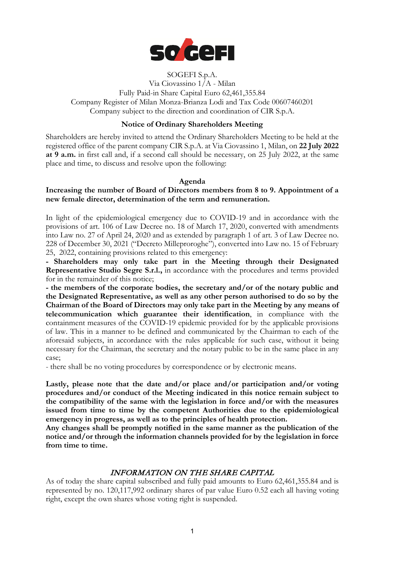

### SOGEFI S.p.A. Via Ciovassino 1/A - Milan Fully Paid-in Share Capital Euro 62,461,355.84 Company Register of Milan Monza-Brianza Lodi and Tax Code 00607460201 Company subject to the direction and coordination of CIR S.p.A.

### **Notice of Ordinary Shareholders Meeting**

Shareholders are hereby invited to attend the Ordinary Shareholders Meeting to be held at the registered office of the parent company CIR S.p.A. at Via Ciovassino 1, Milan, on **22 July 2022 at 9 a.m.** in first call and, if a second call should be necessary, on 25 July 2022, at the same place and time, to discuss and resolve upon the following:

#### **Agenda**

#### **Increasing the number of Board of Directors members from 8 to 9. Appointment of a new female director, determination of the term and remuneration.**

In light of the epidemiological emergency due to COVID-19 and in accordance with the provisions of art. 106 of Law Decree no. 18 of March 17, 2020, converted with amendments into Law no. 27 of April 24, 2020 and as extended by paragraph 1 of art. 3 of Law Decree no. 228 of December 30, 2021 ("Decreto Milleproroghe"), converted into Law no. 15 of February 25, 2022, containing provisions related to this emergency:

**- Shareholders may only take part in the Meeting through their Designated Representative Studio Segre S.r.l.,** in accordance with the procedures and terms provided for in the remainder of this notice;

**- the members of the corporate bodies, the secretary and/or of the notary public and the Designated Representative, as well as any other person authorised to do so by the Chairman of the Board of Directors may only take part in the Meeting by any means of telecommunication which guarantee their identification**, in compliance with the containment measures of the COVID-19 epidemic provided for by the applicable provisions of law. This in a manner to be defined and communicated by the Chairman to each of the aforesaid subjects, in accordance with the rules applicable for such case, without it being necessary for the Chairman, the secretary and the notary public to be in the same place in any case;

- there shall be no voting procedures by correspondence or by electronic means.

**Lastly, please note that the date and/or place and/or participation and/or voting procedures and/or conduct of the Meeting indicated in this notice remain subject to the compatibility of the same with the legislation in force and/or with the measures issued from time to time by the competent Authorities due to the epidemiological emergency in progress, as well as to the principles of health protection.**

**Any changes shall be promptly notified in the same manner as the publication of the notice and/or through the information channels provided for by the legislation in force from time to time.**

## INFORMATION ON THE SHARE CAPITAL

As of today the share capital subscribed and fully paid amounts to Euro 62,461,355.84 and is represented by no. 120,117,992 ordinary shares of par value Euro 0.52 each all having voting right, except the own shares whose voting right is suspended.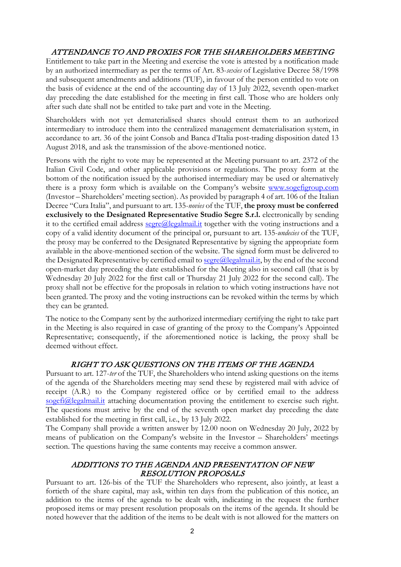# ATTENDANCE TO AND PROXIES FOR THE SHAREHOLDERS MEETING

Entitlement to take part in the Meeting and exercise the vote is attested by a notification made by an authorized intermediary as per the terms of Art. 83-*sexies* of Legislative Decree 58/1998 and subsequent amendments and additions (TUF), in favour of the person entitled to vote on the basis of evidence at the end of the accounting day of 13 July 2022, seventh open-market day preceding the date established for the meeting in first call. Those who are holders only after such date shall not be entitled to take part and vote in the Meeting.

Shareholders with not yet dematerialised shares should entrust them to an authorized intermediary to introduce them into the centralized management dematerialisation system, in accordance to art. 36 of the joint Consob and Banca d'Italia post-trading disposition dated 13 August 2018, and ask the transmission of the above-mentioned notice.

Persons with the right to vote may be represented at the Meeting pursuant to art. 2372 of the Italian Civil Code, and other applicable provisions or regulations. The proxy form at the bottom of the notification issued by the authorised intermediary may be used or alternatively there is a proxy form which is available on the Company's website [www.sogefigroup.com](http://www.sogefigroup.com/) (Investor – Shareholders' meeting section). As provided by paragraph 4 of art. 106 of the Italian Decree "Cura Italia", and pursuant to art. 135-*novies* of the TUF, **the proxy must be conferred exclusively to the Designated Representative Studio Segre S.r.l.** electronically by sending it to the certified email address [segre@legalmail.it](mailto:segre@legalmail.it) together with the voting instructions and a copy of a valid identity document of the principal or, pursuant to art. 135-*undecies* of the TUF, the proxy may be conferred to the Designated Representative by signing the appropriate form available in the above-mentioned section of the website. The signed form must be delivered to the Designated Representative by certified email to  $\frac{\text{segre}(\hat{a})\text{legalmail.it}}{\text{te per}(\hat{a})}$ , by the end of the second open-market day preceding the date established for the Meeting also in second call (that is by Wednesday 20 July 2022 for the first call or Thursday 21 July 2022 for the second call). The proxy shall not be effective for the proposals in relation to which voting instructions have not been granted. The proxy and the voting instructions can be revoked within the terms by which they can be granted.

The notice to the Company sent by the authorized intermediary certifying the right to take part in the Meeting is also required in case of granting of the proxy to the Company's Appointed Representative; consequently, if the aforementioned notice is lacking, the proxy shall be deemed without effect.

## RIGHT TO ASK QUESTIONS ON THE ITEMS OF THE AGENDA

Pursuant to art. 127-*ter* of the TUF, the Shareholders who intend asking questions on the items of the agenda of the Shareholders meeting may send these by registered mail with advice of receipt (A.R.) to the Company registered office or by certified email to the address [sogefi@legalmail.it](mailto:sogefi@legalmail.it) attaching documentation proving the entitlement to exercise such right. The questions must arrive by the end of the seventh open market day preceding the date established for the meeting in first call, i.e., by 13 July 2022.

The Company shall provide a written answer by 12.00 noon on Wednesday 20 July, 2022 by means of publication on the Company's website in the Investor – Shareholders' meetings section. The questions having the same contents may receive a common answer.

## ADDITIONS TO THE AGENDA AND PRESENTATION OF NEW RESOLUTION PROPOSALS

Pursuant to art. 126-bis of the TUF the Shareholders who represent, also jointly, at least a fortieth of the share capital, may ask, within ten days from the publication of this notice, an addition to the items of the agenda to be dealt with, indicating in the request the further proposed items or may present resolution proposals on the items of the agenda. It should be noted however that the addition of the items to be dealt with is not allowed for the matters on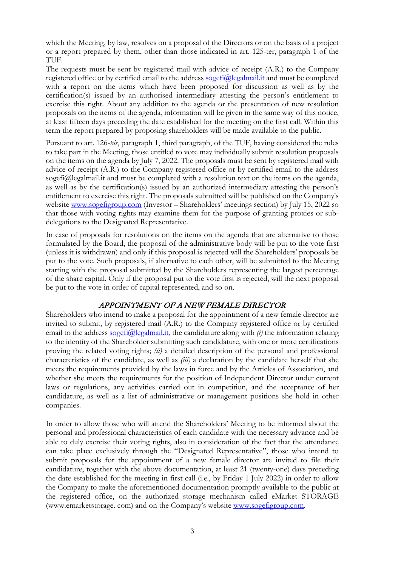which the Meeting, by law, resolves on a proposal of the Directors or on the basis of a project or a report prepared by them, other than those indicated in art. 125-ter, paragraph 1 of the TUF.

The requests must be sent by registered mail with advice of receipt (A.R.) to the Company registered office or by certified email to the address [sogefi@legalmail.it](mailto:sogefi@legalmail.it) and must be completed with a report on the items which have been proposed for discussion as well as by the certification(s) issued by an authorised intermediary attesting the person's entitlement to exercise this right. About any addition to the agenda or the presentation of new resolution proposals on the items of the agenda, information will be given in the same way of this notice, at least fifteen days preceding the date established for the meeting on the first call. Within this term the report prepared by proposing shareholders will be made available to the public.

Pursuant to art. 126-*bis*, paragraph 1, third paragraph, of the TUF, having considered the rules to take part in the Meeting, those entitled to vote may individually submit resolution proposals on the items on the agenda by July 7, 2022. The proposals must be sent by registered mail with advice of receipt (A.R.) to the Company registered office or by certified email to the address sogefi@legalmail.it and must be completed with a resolution text on the items on the agenda, as well as by the certification(s) issued by an authorized intermediary attesting the person's entitlement to exercise this right. The proposals submitted will be published on the Company's website [www.sogefigroup.com](http://www.sogefigroup.com/) (Investor – Shareholders' meetings section) by July 15, 2022 so that those with voting rights may examine them for the purpose of granting proxies or subdelegations to the Designated Representative.

In case of proposals for resolutions on the items on the agenda that are alternative to those formulated by the Board, the proposal of the administrative body will be put to the vote first (unless it is withdrawn) and only if this proposal is rejected will the Shareholders' proposals be put to the vote. Such proposals, if alternative to each other, will be submitted to the Meeting starting with the proposal submitted by the Shareholders representing the largest percentage of the share capital. Only if the proposal put to the vote first is rejected, will the next proposal be put to the vote in order of capital represented, and so on.

### APPOINTMENT OF A NEW FEMALE DIRECTOR

Shareholders who intend to make a proposal for the appointment of a new female director are invited to submit, by registered mail (A.R.) to the Company registered office or by certified email to the addres[s sogefi@legalmail.it,](mailto:sogefi@legalmail.it) the candidature along with *(i)* the information relating to the identity of the Shareholder submitting such candidature, with one or more certifications proving the related voting rights; *(ii)* a detailed description of the personal and professional characteristics of the candidate, as well as *(iii)* a declaration by the candidate herself that she meets the requirements provided by the laws in force and by the Articles of Association, and whether she meets the requirements for the position of Independent Director under current laws or regulations, any activities carried out in competition, and the acceptance of her candidature, as well as a list of administrative or management positions she hold in other companies.

In order to allow those who will attend the Shareholders' Meeting to be informed about the personal and professional characteristics of each candidate with the necessary advance and be able to duly exercise their voting rights, also in consideration of the fact that the attendance can take place exclusively through the "Designated Representative", those who intend to submit proposals for the appointment of a new female director are invited to file their candidature, together with the above documentation, at least 21 (twenty-one) days preceding the date established for the meeting in first call (i.e., by Friday 1 July 2022) in order to allow the Company to make the aforementioned documentation promptly available to the public at the registered office, on the authorized storage mechanism called eMarket STORAGE (www.emarketstorage. com) and on the Company's website [www.sogefigroup.com.](http://www.sogefigroup.com/)